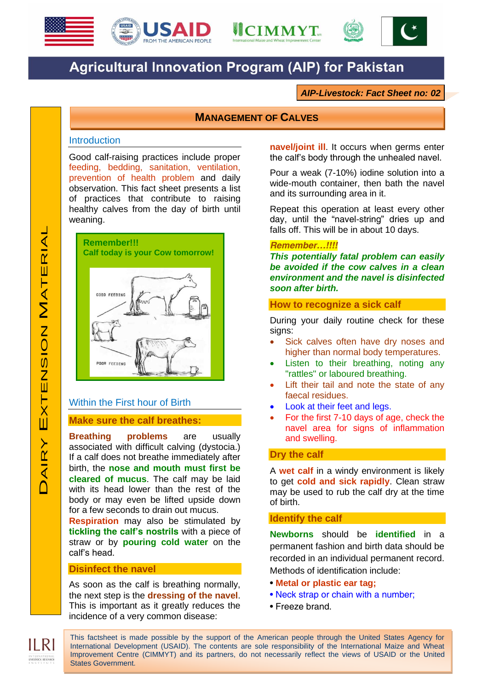





# **Agricultural Innovation Program (AIP) for Pakistan**

*AIP-Livestock: Fact Sheet no: 02*

# **MANAGEMENT OF CALVES**

#### **Introduction**

Good calf-raising practices include proper feeding, bedding, sanitation, ventilation, prevention of health problem and daily observation. This fact sheet presents a list of practices that contribute to raising healthy calves from the day of birth until weaning.



# Within the First hour of Birth

# **Make sure the calf breathes:**

**Breathing problems** are usually associated with difficult calving (dystocia.) If a calf does not breathe immediately after birth, the **nose and mouth must first be cleared of mucus**. The calf may be laid with its head lower than the rest of the body or may even be lifted upside down for a few seconds to drain out mucus.

**Respiration** may also be stimulated by **tickling the calf's nostrils** with a piece of straw or by **pouring cold water** on the calf's head.

# **Disinfect the navel**

As soon as the calf is breathing normally, the next step is the **dressing of the navel**. This is important as it greatly reduces the incidence of a very common disease:

**navel/joint ill**. It occurs when germs enter the calf's body through the unhealed navel.

Pour a weak (7-10%) iodine solution into a wide-mouth container, then bath the navel and its surrounding area in it.

Repeat this operation at least every other day, until the "navel-string" dries up and falls off. This will be in about 10 days.

## *Remember…!!!!*

*This potentially fatal problem can easily be avoided if the cow calves in a clean environment and the navel is disinfected soon after birth.*

# **How to recognize a sick calf**

During your daily routine check for these signs:

- Sick calves often have dry noses and higher than normal body temperatures.
- Listen to their breathing, noting any "rattles" or laboured breathing.
- Lift their tail and note the state of any faecal residues.
- Look at their feet and legs.
- For the first 7-10 days of age, check the navel area for signs of inflammation and swelling.

## **Dry the calf**

A **wet calf** in a windy environment is likely to get **cold and sick rapidly**. Clean straw may be used to rub the calf dry at the time of birth.

# **Identify the calf**

**Newborns** should be **identified** in a permanent fashion and birth data should be recorded in an individual permanent record. Methods of identification include:

- **Metal or plastic ear tag;**
- Neck strap or chain with a number;
- Freeze brand.

This factsheet is made possible by the support of the American people through the United States Agency for International Development (USAID). The contents are sole responsibility of the International Maize and Wheat Improvement Centre (CIMMYT) and its partners, do not necessarily reflect the views of USAID or the United States Government.

INTERNATIONAL<br>LIVESTOCK RESEARCH